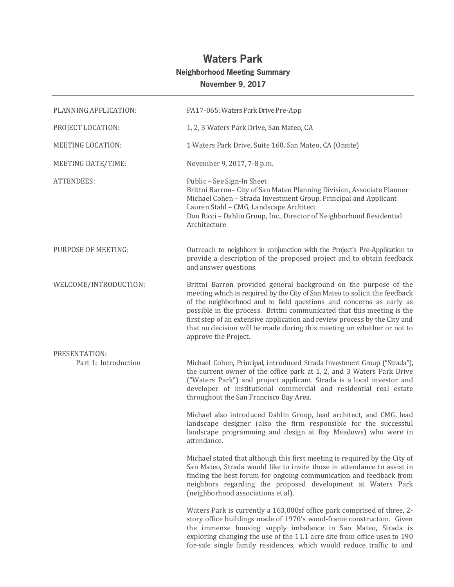## **Waters Park Neighborhood Meeting Summary November 9, 2017**

| PLANNING APPLICATION:                 | PA17-065: Waters Park Drive Pre-App                                                                                                                                                                                                                                                                                                                                                                                                                                            |
|---------------------------------------|--------------------------------------------------------------------------------------------------------------------------------------------------------------------------------------------------------------------------------------------------------------------------------------------------------------------------------------------------------------------------------------------------------------------------------------------------------------------------------|
| PROJECT LOCATION:                     | 1, 2, 3 Waters Park Drive, San Mateo, CA                                                                                                                                                                                                                                                                                                                                                                                                                                       |
| <b>MEETING LOCATION:</b>              | 1 Waters Park Drive, Suite 160, San Mateo, CA (Onsite)                                                                                                                                                                                                                                                                                                                                                                                                                         |
| MEETING DATE/TIME:                    | November 9, 2017, 7-8 p.m.                                                                                                                                                                                                                                                                                                                                                                                                                                                     |
| <b>ATTENDEES:</b>                     | Public - See Sign-In Sheet<br>Brittni Barron- City of San Mateo Planning Division, Associate Planner<br>Michael Cohen - Strada Investment Group, Principal and Applicant<br>Lauren Stahl - CMG, Landscape Architect<br>Don Ricci - Dahlin Group, Inc., Director of Neighborhood Residential<br>Architecture                                                                                                                                                                    |
| PURPOSE OF MEETING:                   | Outreach to neighbors in conjunction with the Project's Pre-Application to<br>provide a description of the proposed project and to obtain feedback<br>and answer questions.                                                                                                                                                                                                                                                                                                    |
| WELCOME/INTRODUCTION:                 | Brittni Barron provided general background on the purpose of the<br>meeting which is required by the City of San Mateo to solicit the feedback<br>of the neighborhood and to field questions and concerns as early as<br>possible in the process. Brittni communicated that this meeting is the<br>first step of an extensive application and review process by the City and<br>that no decision will be made during this meeting on whether or not to<br>approve the Project. |
| PRESENTATION:<br>Part 1: Introduction | Michael Cohen, Principal, introduced Strada Investment Group ("Strada"),<br>the current owner of the office park at 1, 2, and 3 Waters Park Drive<br>("Waters Park") and project applicant. Strada is a local investor and<br>developer of institutional commercial and residential real estate<br>throughout the San Francisco Bay Area.                                                                                                                                      |
|                                       | Michael also introduced Dahlin Group, lead architect, and CMG, lead<br>landscape designer (also the firm responsible for the successful<br>landscape programming and design at Bay Meadows) who were in<br>attendance.                                                                                                                                                                                                                                                         |
|                                       | Michael stated that although this first meeting is required by the City of<br>San Mateo, Strada would like to invite those in attendance to assist in<br>finding the best forum for ongoing communication and feedback from<br>neighbors regarding the proposed development at Waters Park<br>(neighborhood associations et al).                                                                                                                                               |
|                                       | Waters Park is currently a 163,000sf office park comprised of three, 2-<br>story office buildings made of 1970's wood-frame construction. Given<br>the immense housing supply imbalance in San Mateo, Strada is<br>exploring changing the use of the 11.1 acre site from office uses to 190<br>for-sale single family residences, which would reduce traffic to and                                                                                                            |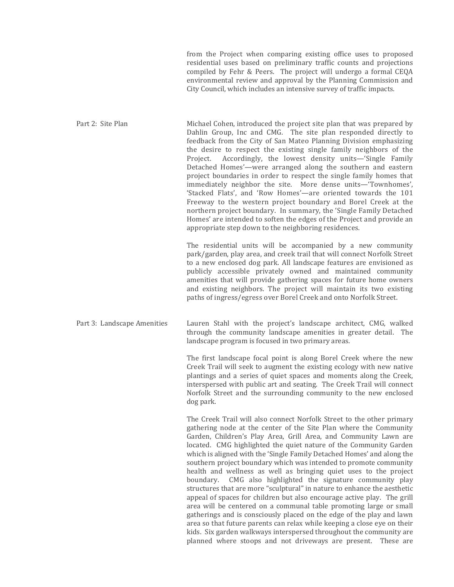from the Project when comparing existing office uses to proposed residential uses based on preliminary traffic counts and projections compiled by Fehr & Peers. The project will undergo a formal CEQA environmental review and approval by the Planning Commission and City Council, which includes an intensive survey of traffic impacts.

Part 2: Site Plan Michael Cohen, introduced the project site plan that was prepared by Dahlin Group, Inc and CMG. The site plan responded directly to feedback from the City of San Mateo Planning Division emphasizing the desire to respect the existing single family neighbors of the Project. Accordingly, the lowest density units—'Single Family Detached Homes'—were arranged along the southern and eastern project boundaries in order to respect the single family homes that immediately neighbor the site. More dense units—'Townhomes', 'Stacked Flats', and 'Row Homes'—are oriented towards the 101 Freeway to the western project boundary and Borel Creek at the northern project boundary. In summary, the 'Single Family Detached Homes' are intended to soften the edges of the Project and provide an appropriate step down to the neighboring residences.

> The residential units will be accompanied by a new community park/garden, play area, and creek trail that will connect Norfolk Street to a new enclosed dog park. All landscape features are envisioned as publicly accessible privately owned and maintained community amenities that will provide gathering spaces for future home owners and existing neighbors. The project will maintain its two existing paths of ingress/egress over Borel Creek and onto Norfolk Street.

Part 3: Landscape Amenities Lauren Stahl with the project's landscape architect, CMG, walked through the community landscape amenities in greater detail. The landscape program is focused in two primary areas.

> The first landscape focal point is along Borel Creek where the new Creek Trail will seek to augment the existing ecology with new native plantings and a series of quiet spaces and moments along the Creek, interspersed with public art and seating. The Creek Trail will connect Norfolk Street and the surrounding community to the new enclosed dog park.

> The Creek Trail will also connect Norfolk Street to the other primary gathering node at the center of the Site Plan where the Community Garden, Children's Play Area, Grill Area, and Community Lawn are located. CMG highlighted the quiet nature of the Community Garden which is aligned with the 'Single Family Detached Homes' and along the southern project boundary which was intended to promote community health and wellness as well as bringing quiet uses to the project boundary. CMG also highlighted the signature community play structures that are more "sculptural" in nature to enhance the aesthetic appeal of spaces for children but also encourage active play. The grill area will be centered on a communal table promoting large or small gatherings and is consciously placed on the edge of the play and lawn area so that future parents can relax while keeping a close eye on their kids. Six garden walkways interspersed throughout the community are planned where stoops and not driveways are present. These are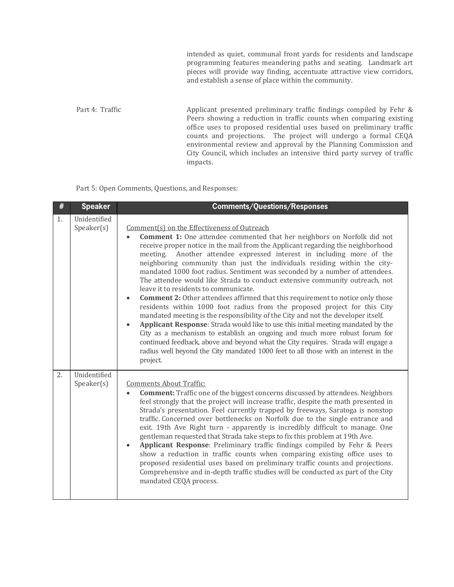intended as quiet, communal front yards for residents and landscape programming features meandering paths and seating. Landmark art pieces will provide way finding, accentuate attractive view corridors, and establish a sense of place within the community.

Part 4: Traffic Applicant presented preliminary traffic findings compiled by Fehr & Peers showing a reduction in traffic counts when comparing existing office uses to proposed residential uses based on preliminary traffic counts and projections. The project will undergo a formal CEQA environmental review and approval by the Planning Commission and City Council, which includes an intensive third party survey of traffic impacts. 

Part 5: Open Comments, Questions, and Responses:

| #  | <b>Speaker</b>                                       | <b>Comments/Questions/Responses</b>                                                                                                                                                                                                                                                                                                                                                                                                                                                                                                                                                                                                                                                                                                                                                                                                                                                                                                                                                                                                                                                                                                                                                                         |
|----|------------------------------------------------------|-------------------------------------------------------------------------------------------------------------------------------------------------------------------------------------------------------------------------------------------------------------------------------------------------------------------------------------------------------------------------------------------------------------------------------------------------------------------------------------------------------------------------------------------------------------------------------------------------------------------------------------------------------------------------------------------------------------------------------------------------------------------------------------------------------------------------------------------------------------------------------------------------------------------------------------------------------------------------------------------------------------------------------------------------------------------------------------------------------------------------------------------------------------------------------------------------------------|
| 1. | Unidentified<br>S <sub>p</sub> e <sub>aker</sub> (s) | Comment(s) on the Effectiveness of Outreach<br>Comment 1: One attendee commented that her neighbors on Norfolk did not<br>receive proper notice in the mail from the Applicant regarding the neighborhood<br>Another attendee expressed interest in including more of the<br>meeting.<br>neighboring community than just the individuals residing within the city-<br>mandated 1000 foot radius. Sentiment was seconded by a number of attendees.<br>The attendee would like Strada to conduct extensive community outreach, not<br>leave it to residents to communicate.<br><b>Comment 2:</b> Other attendees affirmed that this requirement to notice only those<br>$\bullet$<br>residents within 1000 foot radius from the proposed project for this City<br>mandated meeting is the responsibility of the City and not the developer itself.<br>Applicant Response: Strada would like to use this initial meeting mandated by the<br>City as a mechanism to establish an ongoing and much more robust forum for<br>continued feedback, above and beyond what the City requires. Strada will engage a<br>radius well beyond the City mandated 1000 feet to all those with an interest in the<br>project. |
| 2. | Unidentified<br>Speaker(s)                           | <b>Comments About Traffic:</b><br><b>Comment:</b> Traffic one of the biggest concerns discussed by attendees. Neighbors<br>feel strongly that the project will increase traffic, despite the math presented in<br>Strada's presentation. Feel currently trapped by freeways, Saratoga is nonstop<br>traffic. Concerned over bottlenecks on Norfolk due to the single entrance and<br>exit. 19th Ave Right turn - apparently is incredibly difficult to manage. One<br>gentleman requested that Strada take steps to fix this problem at 19th Ave.<br>Applicant Response: Preliminary traffic findings compiled by Fehr & Peers<br>show a reduction in traffic counts when comparing existing office uses to<br>proposed residential uses based on preliminary traffic counts and projections.<br>Comprehensive and in-depth traffic studies will be conducted as part of the City<br>mandated CEQA process.                                                                                                                                                                                                                                                                                                 |